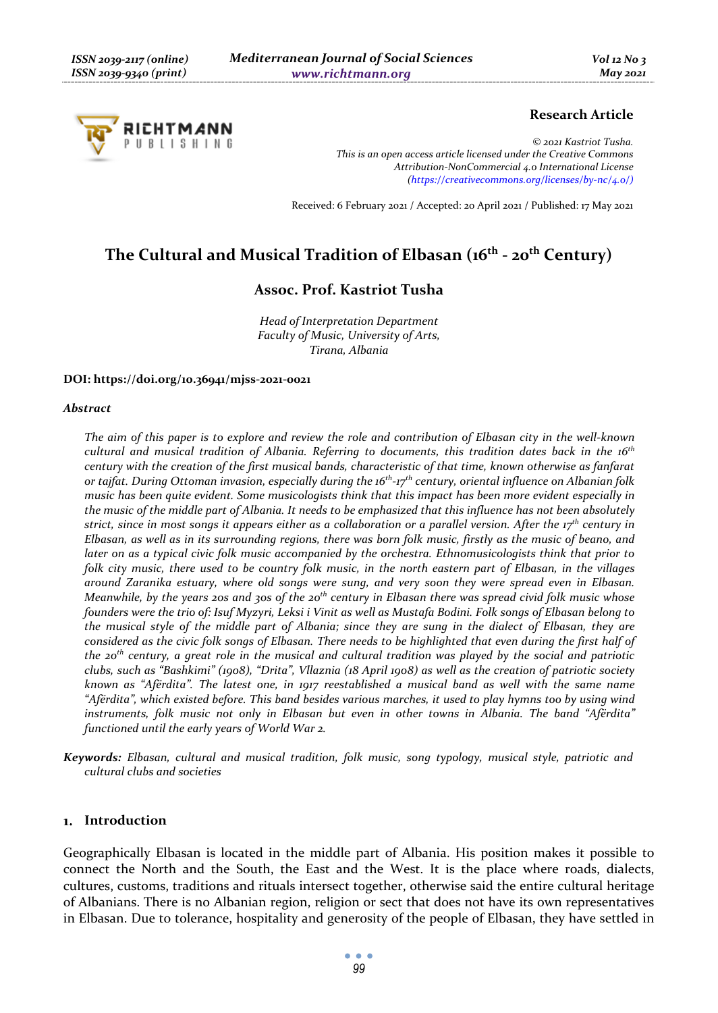

# **Research Article**

*© 2021 Kastriot Tusha. This is an open access article licensed under the Creative Commons Attribution-NonCommercial 4.0 International License (https://creativecommons.org/licenses/by-nc/4.0/)*

Received: 6 February 2021 / Accepted: 20 April 2021 / Published: 17 May 2021

# The Cultural and Musical Tradition of Elbasan (16<sup>th</sup> - 20<sup>th</sup> Century)

# **Assoc. Prof. Kastriot Tusha**

*Head of Interpretation Department Faculty of Music, University of Arts, Tirana, Albania* 

#### **DOI: https://doi.org/10.36941/mjss-2021-0021**

#### *Abstract*

*The aim of this paper is to explore and review the role and contribution of Elbasan city in the well-known cultural and musical tradition of Albania. Referring to documents, this tradition dates back in the 16th century with the creation of the first musical bands, characteristic of that time, known otherwise as fanfarat or tajfat. During Ottoman invasion, especially during the 16th-17th century, oriental influence on Albanian folk music has been quite evident. Some musicologists think that this impact has been more evident especially in the music of the middle part of Albania. It needs to be emphasized that this influence has not been absolutely strict, since in most songs it appears either as a collaboration or a parallel version. After the 17th century in Elbasan, as well as in its surrounding regions, there was born folk music, firstly as the music of beano, and later on as a typical civic folk music accompanied by the orchestra. Ethnomusicologists think that prior to folk city music, there used to be country folk music, in the north eastern part of Elbasan, in the villages around Zaranika estuary, where old songs were sung, and very soon they were spread even in Elbasan. Meanwhile, by the years 20s and 30s of the 20th century in Elbasan there was spread civid folk music whose founders were the trio of: Isuf Myzyri, Leksi i Vinit as well as Mustafa Bodini. Folk songs of Elbasan belong to the musical style of the middle part of Albania; since they are sung in the dialect of Elbasan, they are considered as the civic folk songs of Elbasan. There needs to be highlighted that even during the first half of the 20th century, a great role in the musical and cultural tradition was played by the social and patriotic clubs, such as "Bashkimi" (1908), "Drita", Vllaznia (18 April 1908) as well as the creation of patriotic society known as "Afërdita". The latest one, in 1917 reestablished a musical band as well with the same name "Afërdita", which existed before. This band besides various marches, it used to play hymns too by using wind instruments, folk music not only in Elbasan but even in other towns in Albania. The band "Afërdita" functioned until the early years of World War 2.* 

*Keywords: Elbasan, cultural and musical tradition, folk music, song typology, musical style, patriotic and cultural clubs and societies* 

#### **Introduction**

Geographically Elbasan is located in the middle part of Albania. His position makes it possible to connect the North and the South, the East and the West. It is the place where roads, dialects, cultures, customs, traditions and rituals intersect together, otherwise said the entire cultural heritage of Albanians. There is no Albanian region, religion or sect that does not have its own representatives in Elbasan. Due to tolerance, hospitality and generosity of the people of Elbasan, they have settled in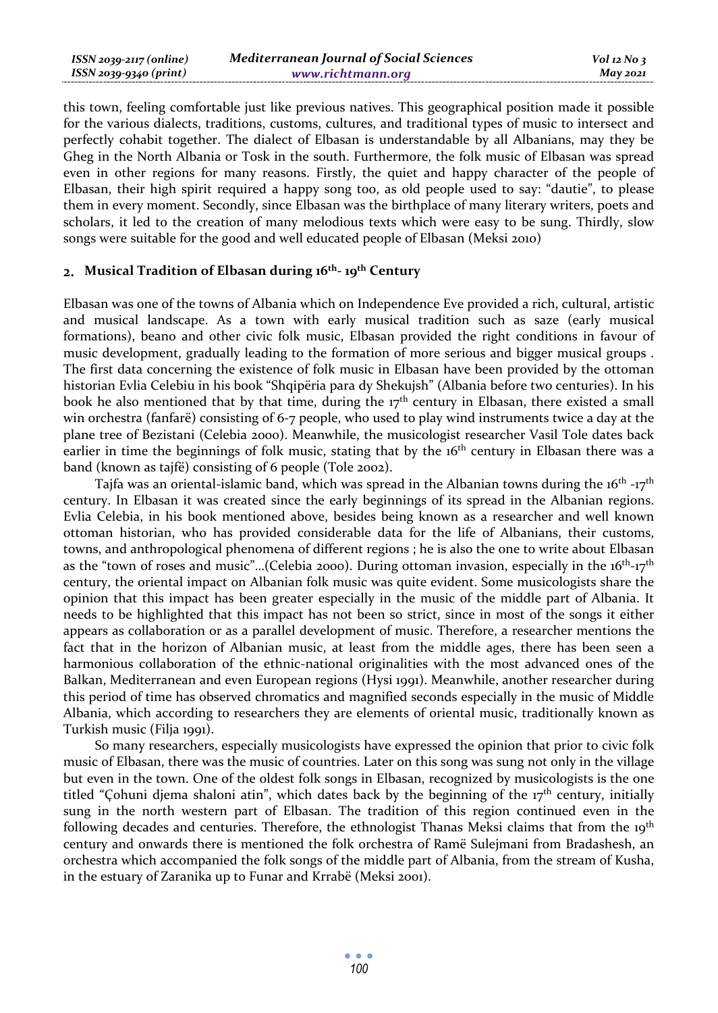| ISSN 2039-2117 (online) | <b>Mediterranean Journal of Social Sciences</b> | $Vol$ 12 No 3 |
|-------------------------|-------------------------------------------------|---------------|
| ISSN 2039-9340 (print)  | www.richtmann.org                               | May 2021      |

this town, feeling comfortable just like previous natives. This geographical position made it possible for the various dialects, traditions, customs, cultures, and traditional types of music to intersect and perfectly cohabit together. The dialect of Elbasan is understandable by all Albanians, may they be Gheg in the North Albania or Tosk in the south. Furthermore, the folk music of Elbasan was spread even in other regions for many reasons. Firstly, the quiet and happy character of the people of Elbasan, their high spirit required a happy song too, as old people used to say: "dautie", to please them in every moment. Secondly, since Elbasan was the birthplace of many literary writers, poets and scholars, it led to the creation of many melodious texts which were easy to be sung. Thirdly, slow songs were suitable for the good and well educated people of Elbasan (Meksi 2010)

#### **Musical Tradition of Elbasan during 16th- 19th Century**

Elbasan was one of the towns of Albania which on Independence Eve provided a rich, cultural, artistic and musical landscape. As a town with early musical tradition such as saze (early musical formations), beano and other civic folk music, Elbasan provided the right conditions in favour of music development, gradually leading to the formation of more serious and bigger musical groups . The first data concerning the existence of folk music in Elbasan have been provided by the ottoman historian Evlia Celebiu in his book "Shqipëria para dy Shekujsh" (Albania before two centuries). In his book he also mentioned that by that time, during the  $17<sup>th</sup>$  century in Elbasan, there existed a small win orchestra (fanfarë) consisting of 6-7 people, who used to play wind instruments twice a day at the plane tree of Bezistani (Celebia 2000). Meanwhile, the musicologist researcher Vasil Tole dates back earlier in time the beginnings of folk music, stating that by the 16<sup>th</sup> century in Elbasan there was a band (known as tajfë) consisting of 6 people (Tole 2002).

Tajfa was an oriental-islamic band, which was spread in the Albanian towns during the  $16<sup>th</sup> -17<sup>th</sup>$ century. In Elbasan it was created since the early beginnings of its spread in the Albanian regions. Evlia Celebia, in his book mentioned above, besides being known as a researcher and well known ottoman historian, who has provided considerable data for the life of Albanians, their customs, towns, and anthropological phenomena of different regions ; he is also the one to write about Elbasan as the "town of roses and music"...(Celebia 2000). During ottoman invasion, especially in the  $16<sup>th</sup>-17<sup>th</sup>$ century, the oriental impact on Albanian folk music was quite evident. Some musicologists share the opinion that this impact has been greater especially in the music of the middle part of Albania. It needs to be highlighted that this impact has not been so strict, since in most of the songs it either appears as collaboration or as a parallel development of music. Therefore, a researcher mentions the fact that in the horizon of Albanian music, at least from the middle ages, there has been seen a harmonious collaboration of the ethnic-national originalities with the most advanced ones of the Balkan, Mediterranean and even European regions (Hysi 1991). Meanwhile, another researcher during this period of time has observed chromatics and magnified seconds especially in the music of Middle Albania, which according to researchers they are elements of oriental music, traditionally known as Turkish music (Filja 1991).

So many researchers, especially musicologists have expressed the opinion that prior to civic folk music of Elbasan, there was the music of countries. Later on this song was sung not only in the village but even in the town. One of the oldest folk songs in Elbasan, recognized by musicologists is the one titled "Çohuni djema shaloni atin", which dates back by the beginning of the  $17<sup>th</sup>$  century, initially sung in the north western part of Elbasan. The tradition of this region continued even in the following decades and centuries. Therefore, the ethnologist Thanas Meksi claims that from the 19<sup>th</sup> century and onwards there is mentioned the folk orchestra of Ramë Sulejmani from Bradashesh, an orchestra which accompanied the folk songs of the middle part of Albania, from the stream of Kusha, in the estuary of Zaranika up to Funar and Krrabë (Meksi 2001).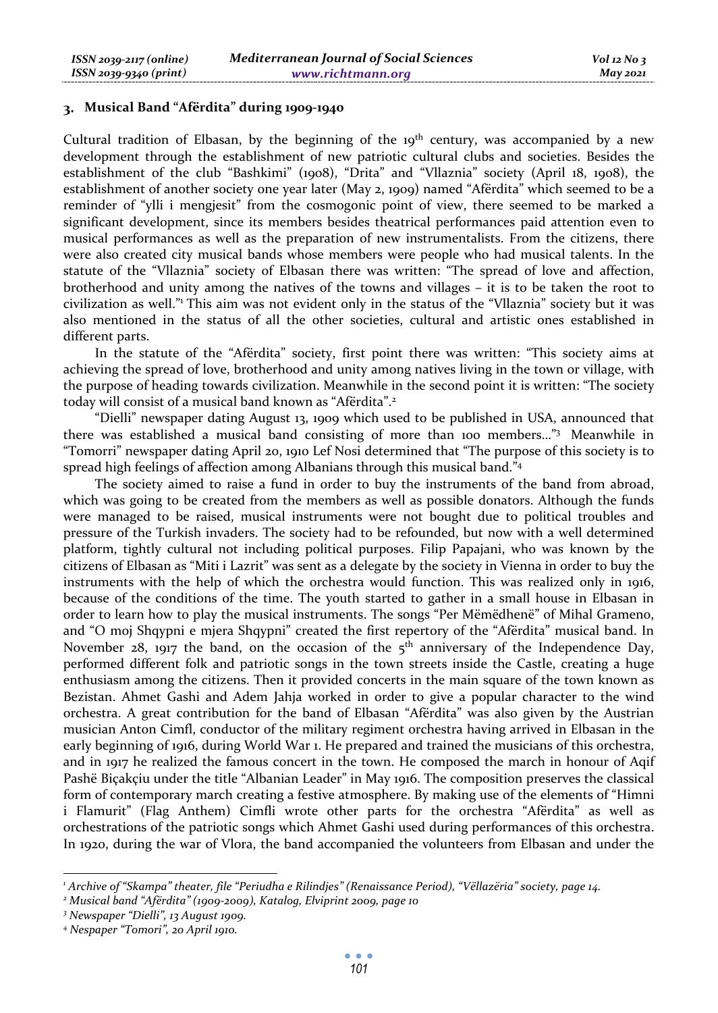### **Musical Band "Afërdita" during 1909-1940**

Cultural tradition of Elbasan, by the beginning of the  $19<sup>th</sup>$  century, was accompanied by a new development through the establishment of new patriotic cultural clubs and societies. Besides the establishment of the club "Bashkimi" (1908), "Drita" and "Vllaznia" society (April 18, 1908), the establishment of another society one year later (May 2, 1909) named "Afërdita" which seemed to be a reminder of "ylli i mengjesit" from the cosmogonic point of view, there seemed to be marked a significant development, since its members besides theatrical performances paid attention even to musical performances as well as the preparation of new instrumentalists. From the citizens, there were also created city musical bands whose members were people who had musical talents. In the statute of the "Vllaznia" society of Elbasan there was written: "The spread of love and affection, brotherhood and unity among the natives of the towns and villages – it is to be taken the root to civilization as well." This aim was not evident only in the status of the "Vllaznia" society but it was also mentioned in the status of all the other societies, cultural and artistic ones established in different parts.

In the statute of the "Afërdita" society, first point there was written: "This society aims at achieving the spread of love, brotherhood and unity among natives living in the town or village, with the purpose of heading towards civilization. Meanwhile in the second point it is written: "The society today will consist of a musical band known as "Afërdita".<sup>2</sup>

"Dielli" newspaper dating August 13, 1909 which used to be published in USA, announced that there was established a musical band consisting of more than 100 members…"3 Meanwhile in "Tomorri" newspaper dating April 20, 1910 Lef Nosi determined that "The purpose of this society is to spread high feelings of affection among Albanians through this musical band."4

The society aimed to raise a fund in order to buy the instruments of the band from abroad, which was going to be created from the members as well as possible donators. Although the funds were managed to be raised, musical instruments were not bought due to political troubles and pressure of the Turkish invaders. The society had to be refounded, but now with a well determined platform, tightly cultural not including political purposes. Filip Papajani, who was known by the citizens of Elbasan as "Miti i Lazrit" was sent as a delegate by the society in Vienna in order to buy the instruments with the help of which the orchestra would function. This was realized only in 1916, because of the conditions of the time. The youth started to gather in a small house in Elbasan in order to learn how to play the musical instruments. The songs "Per Mëmëdhenë" of Mihal Grameno, and "O moj Shqypni e mjera Shqypni" created the first repertory of the "Afërdita" musical band. In November 28, 1917 the band, on the occasion of the  $5<sup>th</sup>$  anniversary of the Independence Day, performed different folk and patriotic songs in the town streets inside the Castle, creating a huge enthusiasm among the citizens. Then it provided concerts in the main square of the town known as Bezistan. Ahmet Gashi and Adem Jahja worked in order to give a popular character to the wind orchestra. A great contribution for the band of Elbasan "Afërdita" was also given by the Austrian musician Anton Cimfl, conductor of the military regiment orchestra having arrived in Elbasan in the early beginning of 1916, during World War 1. He prepared and trained the musicians of this orchestra, and in 1917 he realized the famous concert in the town. He composed the march in honour of Aqif Pashë Biçakçiu under the title "Albanian Leader" in May 1916. The composition preserves the classical form of contemporary march creating a festive atmosphere. By making use of the elements of "Himni i Flamurit" (Flag Anthem) Cimfli wrote other parts for the orchestra "Afërdita" as well as orchestrations of the patriotic songs which Ahmet Gashi used during performances of this orchestra. In 1920, during the war of Vlora, the band accompanied the volunteers from Elbasan and under the

*<sup>1</sup> Archive of "Skampa" theater, file "Periudha e Rilindjes" (Renaissance Period), "Vëllazëria" society, page 14.* 

*<sup>2</sup> Musical band "Afërdita" (1909-2009), Katalog, Elviprint 2009, page 10* 

*<sup>3</sup> Newspaper "Dielli", 13 August 1909.* 

*<sup>4</sup> Nespaper "Tomori", 20 April 1910.*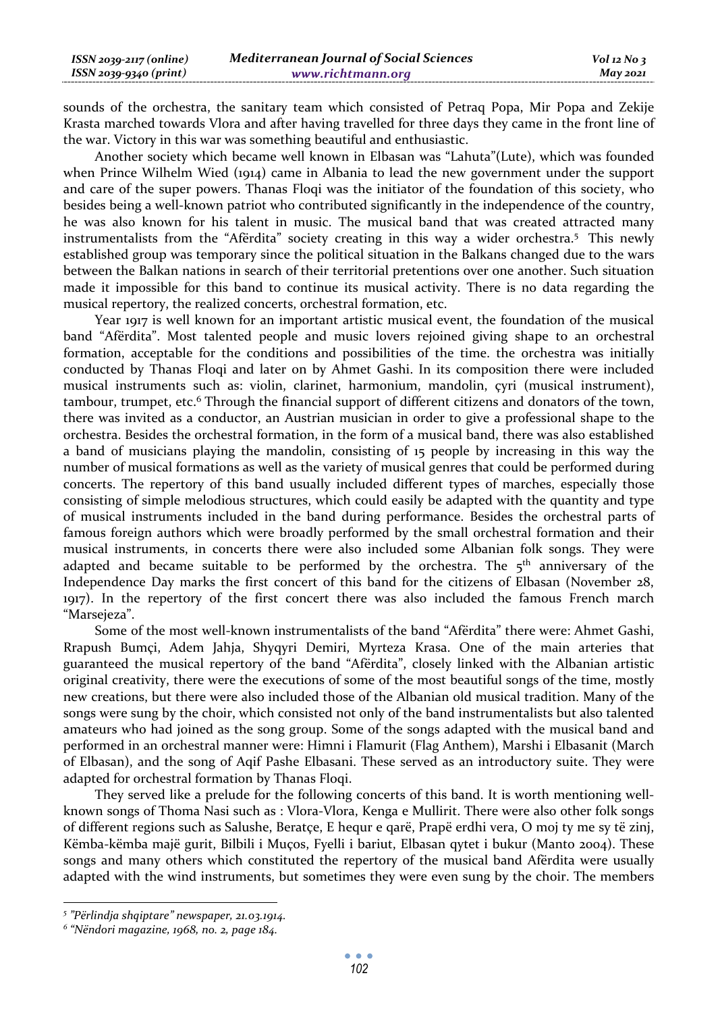| $ISSN 2039-2117 (online)$ | <b>Mediterranean Journal of Social Sciences</b> | $Vol$ 12 No 3 |
|---------------------------|-------------------------------------------------|---------------|
| ISSN 2039-9340 (print)    | www.richtmann.org                               | May 2021      |

sounds of the orchestra, the sanitary team which consisted of Petraq Popa, Mir Popa and Zekije Krasta marched towards Vlora and after having travelled for three days they came in the front line of the war. Victory in this war was something beautiful and enthusiastic.

Another society which became well known in Elbasan was "Lahuta"(Lute), which was founded when Prince Wilhelm Wied (1914) came in Albania to lead the new government under the support and care of the super powers. Thanas Floqi was the initiator of the foundation of this society, who besides being a well-known patriot who contributed significantly in the independence of the country, he was also known for his talent in music. The musical band that was created attracted many instrumentalists from the "Afërdita" society creating in this way a wider orchestra.5 This newly established group was temporary since the political situation in the Balkans changed due to the wars between the Balkan nations in search of their territorial pretentions over one another. Such situation made it impossible for this band to continue its musical activity. There is no data regarding the musical repertory, the realized concerts, orchestral formation, etc.

Year 1917 is well known for an important artistic musical event, the foundation of the musical band "Afërdita". Most talented people and music lovers rejoined giving shape to an orchestral formation, acceptable for the conditions and possibilities of the time. the orchestra was initially conducted by Thanas Floqi and later on by Ahmet Gashi. In its composition there were included musical instruments such as: violin, clarinet, harmonium, mandolin, çyri (musical instrument), tambour, trumpet, etc.<sup>6</sup> Through the financial support of different citizens and donators of the town, there was invited as a conductor, an Austrian musician in order to give a professional shape to the orchestra. Besides the orchestral formation, in the form of a musical band, there was also established a band of musicians playing the mandolin, consisting of 15 people by increasing in this way the number of musical formations as well as the variety of musical genres that could be performed during concerts. The repertory of this band usually included different types of marches, especially those consisting of simple melodious structures, which could easily be adapted with the quantity and type of musical instruments included in the band during performance. Besides the orchestral parts of famous foreign authors which were broadly performed by the small orchestral formation and their musical instruments, in concerts there were also included some Albanian folk songs. They were adapted and became suitable to be performed by the orchestra. The  $5<sup>th</sup>$  anniversary of the Independence Day marks the first concert of this band for the citizens of Elbasan (November 28, 1917). In the repertory of the first concert there was also included the famous French march "Marsejeza".

Some of the most well-known instrumentalists of the band "Afërdita" there were: Ahmet Gashi, Rrapush Bumçi, Adem Jahja, Shyqyri Demiri, Myrteza Krasa. One of the main arteries that guaranteed the musical repertory of the band "Afërdita", closely linked with the Albanian artistic original creativity, there were the executions of some of the most beautiful songs of the time, mostly new creations, but there were also included those of the Albanian old musical tradition. Many of the songs were sung by the choir, which consisted not only of the band instrumentalists but also talented amateurs who had joined as the song group. Some of the songs adapted with the musical band and performed in an orchestral manner were: Himni i Flamurit (Flag Anthem), Marshi i Elbasanit (March of Elbasan), and the song of Aqif Pashe Elbasani. These served as an introductory suite. They were adapted for orchestral formation by Thanas Floqi.

They served like a prelude for the following concerts of this band. It is worth mentioning wellknown songs of Thoma Nasi such as : Vlora-Vlora, Kenga e Mullirit. There were also other folk songs of different regions such as Salushe, Beratçe, E hequr e qarë, Prapë erdhi vera, O moj ty me sy të zinj, Këmba-këmba majë gurit, Bilbili i Muços, Fyelli i bariut, Elbasan qytet i bukur (Manto 2004). These songs and many others which constituted the repertory of the musical band Afërdita were usually adapted with the wind instruments, but sometimes they were even sung by the choir. The members

*<sup>5</sup> "Përlindja shqiptare" newspaper, 21.03.1914.* 

*<sup>6</sup> "Nëndori magazine, 1968, no. 2, page 184.*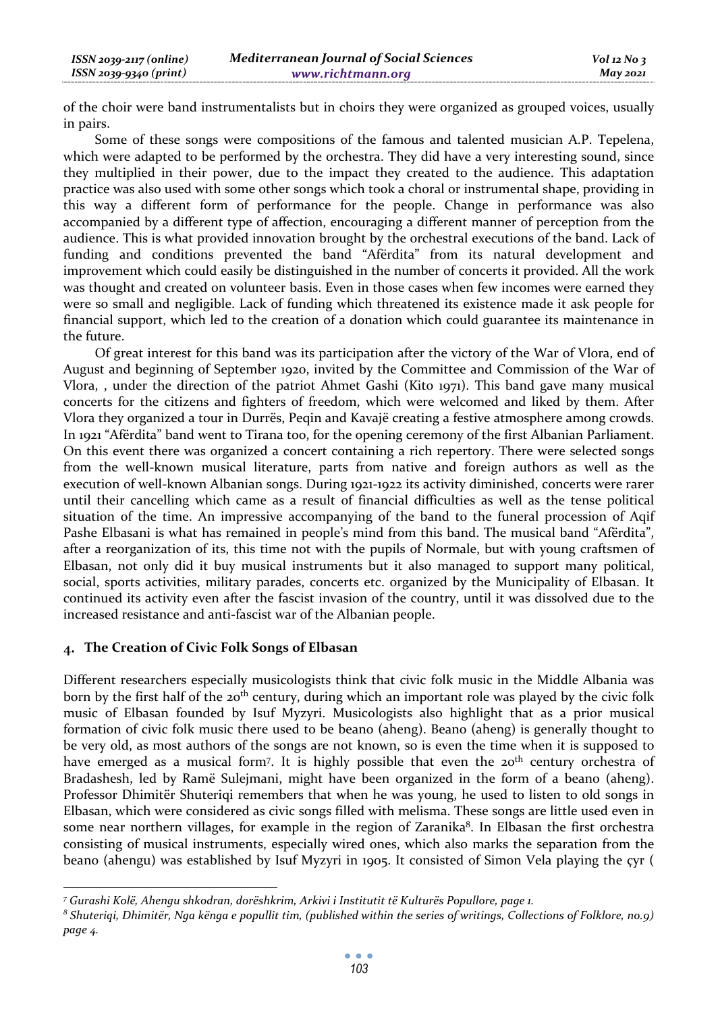of the choir were band instrumentalists but in choirs they were organized as grouped voices, usually in pairs.

Some of these songs were compositions of the famous and talented musician A.P. Tepelena, which were adapted to be performed by the orchestra. They did have a very interesting sound, since they multiplied in their power, due to the impact they created to the audience. This adaptation practice was also used with some other songs which took a choral or instrumental shape, providing in this way a different form of performance for the people. Change in performance was also accompanied by a different type of affection, encouraging a different manner of perception from the audience. This is what provided innovation brought by the orchestral executions of the band. Lack of funding and conditions prevented the band "Afërdita" from its natural development and improvement which could easily be distinguished in the number of concerts it provided. All the work was thought and created on volunteer basis. Even in those cases when few incomes were earned they were so small and negligible. Lack of funding which threatened its existence made it ask people for financial support, which led to the creation of a donation which could guarantee its maintenance in the future.

Of great interest for this band was its participation after the victory of the War of Vlora, end of August and beginning of September 1920, invited by the Committee and Commission of the War of Vlora, , under the direction of the patriot Ahmet Gashi (Kito 1971). This band gave many musical concerts for the citizens and fighters of freedom, which were welcomed and liked by them. After Vlora they organized a tour in Durrës, Peqin and Kavajë creating a festive atmosphere among crowds. In 1921 "Afërdita" band went to Tirana too, for the opening ceremony of the first Albanian Parliament. On this event there was organized a concert containing a rich repertory. There were selected songs from the well-known musical literature, parts from native and foreign authors as well as the execution of well-known Albanian songs. During 1921-1922 its activity diminished, concerts were rarer until their cancelling which came as a result of financial difficulties as well as the tense political situation of the time. An impressive accompanying of the band to the funeral procession of Aqif Pashe Elbasani is what has remained in people's mind from this band. The musical band "Afërdita", after a reorganization of its, this time not with the pupils of Normale, but with young craftsmen of Elbasan, not only did it buy musical instruments but it also managed to support many political, social, sports activities, military parades, concerts etc. organized by the Municipality of Elbasan. It continued its activity even after the fascist invasion of the country, until it was dissolved due to the increased resistance and anti-fascist war of the Albanian people.

# **The Creation of Civic Folk Songs of Elbasan**

Different researchers especially musicologists think that civic folk music in the Middle Albania was born by the first half of the 20<sup>th</sup> century, during which an important role was played by the civic folk music of Elbasan founded by Isuf Myzyri. Musicologists also highlight that as a prior musical formation of civic folk music there used to be beano (aheng). Beano (aheng) is generally thought to be very old, as most authors of the songs are not known, so is even the time when it is supposed to have emerged as a musical form<sup>7</sup>. It is highly possible that even the 20<sup>th</sup> century orchestra of Bradashesh, led by Ramë Sulejmani, might have been organized in the form of a beano (aheng). Professor Dhimitër Shuteriqi remembers that when he was young, he used to listen to old songs in Elbasan, which were considered as civic songs filled with melisma. These songs are little used even in some near northern villages, for example in the region of Zaranika<sup>8</sup>. In Elbasan the first orchestra consisting of musical instruments, especially wired ones, which also marks the separation from the beano (ahengu) was established by Isuf Myzyri in 1905. It consisted of Simon Vela playing the çyr (

*<sup>7</sup> Gurashi Kolë, Ahengu shkodran, dorëshkrim, Arkivi i Institutit të Kulturës Popullore, page 1.* 

*<sup>8</sup> Shuteriqi, Dhimitër, Nga kënga e popullit tim, (published within the series of writings, Collections of Folklore, no.9) page 4.*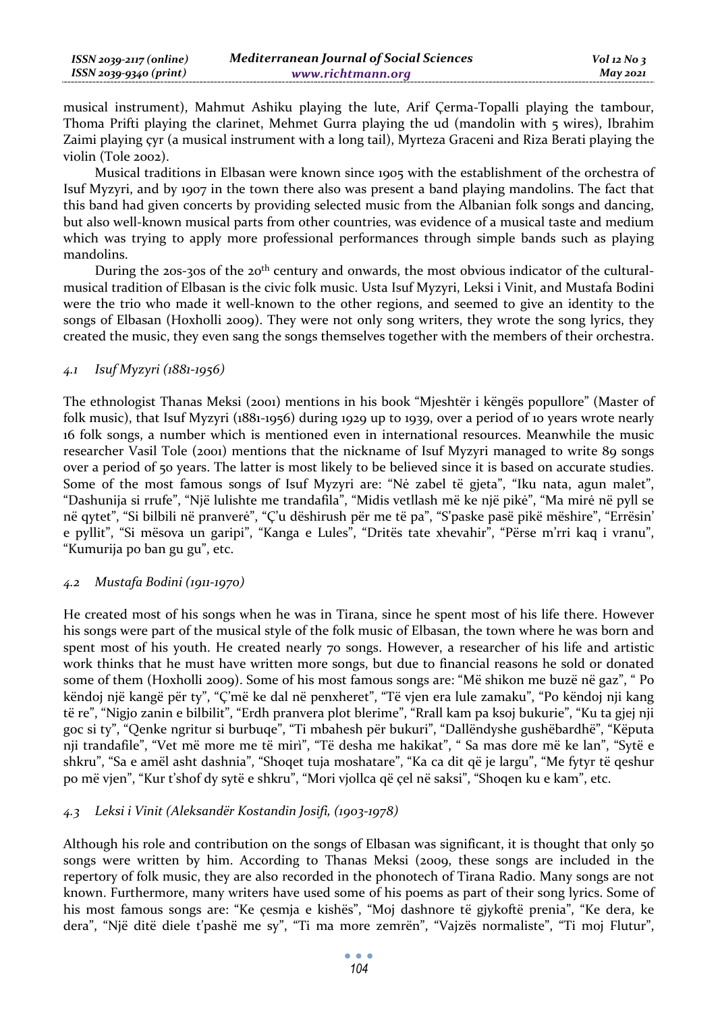| ISSN 2039-2117 (online) | <b>Mediterranean Journal of Social Sciences</b> | $Vol$ 12 No 3   |
|-------------------------|-------------------------------------------------|-----------------|
| ISSN 2039-9340 (print)  | www.richtmann.org                               | <b>May 2021</b> |

musical instrument), Mahmut Ashiku playing the lute, Arif Çerma-Topalli playing the tambour, Thoma Prifti playing the clarinet, Mehmet Gurra playing the ud (mandolin with 5 wires), Ibrahim Zaimi playing çyr (a musical instrument with a long tail), Myrteza Graceni and Riza Berati playing the violin (Tole 2002).

Musical traditions in Elbasan were known since 1905 with the establishment of the orchestra of Isuf Myzyri, and by 1907 in the town there also was present a band playing mandolins. The fact that this band had given concerts by providing selected music from the Albanian folk songs and dancing, but also well-known musical parts from other countries, was evidence of a musical taste and medium which was trying to apply more professional performances through simple bands such as playing mandolins.

During the 20s-30s of the 20<sup>th</sup> century and onwards, the most obvious indicator of the culturalmusical tradition of Elbasan is the civic folk music. Usta Isuf Myzyri, Leksi i Vinit, and Mustafa Bodini were the trio who made it well-known to the other regions, and seemed to give an identity to the songs of Elbasan (Hoxholli 2009). They were not only song writers, they wrote the song lyrics, they created the music, they even sang the songs themselves together with the members of their orchestra.

## *4.1 Isuf Myzyri (1881-1956)*

The ethnologist Thanas Meksi (2001) mentions in his book "Mjeshtër i këngës popullore" (Master of folk music), that Isuf Myzyri (1881-1956) during 1929 up to 1939, over a period of 10 years wrote nearly 16 folk songs, a number which is mentioned even in international resources. Meanwhile the music researcher Vasil Tole (2001) mentions that the nickname of Isuf Myzyri managed to write 89 songs over a period of 50 years. The latter is most likely to be believed since it is based on accurate studies. Some of the most famous songs of Isuf Myzyri are: "Nė zabel të gjeta", "Iku nata, agun malet", "Dashunija si rrufe", "Një lulishte me trandafila", "Midis vetllash më ke një pikė", "Ma mirė në pyll se në qytet", "Si bilbili në pranverė", "Ç'u dëshirush për me të pa", "S'paske pasë pikë mëshire", "Errësin' e pyllit", "Si mësova un garipi", "Kanga e Lules", "Dritës tate xhevahir", "Përse m'rri kaq i vranu", "Kumurija po ban gu gu", etc.

#### *4.2 Mustafa Bodini (1911-1970)*

He created most of his songs when he was in Tirana, since he spent most of his life there. However his songs were part of the musical style of the folk music of Elbasan, the town where he was born and spent most of his youth. He created nearly 70 songs. However, a researcher of his life and artistic work thinks that he must have written more songs, but due to financial reasons he sold or donated some of them (Hoxholli 2009). Some of his most famous songs are: "Më shikon me buzë në gaz", " Po këndoj një kangë për ty", "Ç'më ke dal në penxheret", "Të vjen era lule zamaku", "Po këndoj nji kang të re", "Nigjo zanin e bilbilit", "Erdh pranvera plot blerime", "Rrall kam pa ksoj bukurie", "Ku ta gjej nji goc si ty", "Qenke ngritur si burbuqe", "Ti mbahesh për bukuri", "Dallëndyshe gushëbardhë", "Këputa nji trandafile", "Vet më more me të mirì", "Të desha me hakikat", " Sa mas dore më ke lan", "Sytë e shkru", "Sa e amël asht dashnia", "Shoqet tuja moshatare", "Ka ca dit që je largu", "Me fytyr të qeshur po më vjen", "Kur t'shof dy sytë e shkru", "Mori vjollca që çel në saksi", "Shoqen ku e kam", etc.

## *4.3 Leksi i Vinit (Aleksandër Kostandin Josifi, (1903-1978)*

Although his role and contribution on the songs of Elbasan was significant, it is thought that only 50 songs were written by him. According to Thanas Meksi (2009, these songs are included in the repertory of folk music, they are also recorded in the phonotech of Tirana Radio. Many songs are not known. Furthermore, many writers have used some of his poems as part of their song lyrics. Some of his most famous songs are: "Ke çesmja e kishës", "Moj dashnore të gjykoftë prenia", "Ke dera, ke dera", "Një ditë diele t'pashë me sy", "Ti ma more zemrën", "Vajzës normaliste", "Ti moj Flutur",